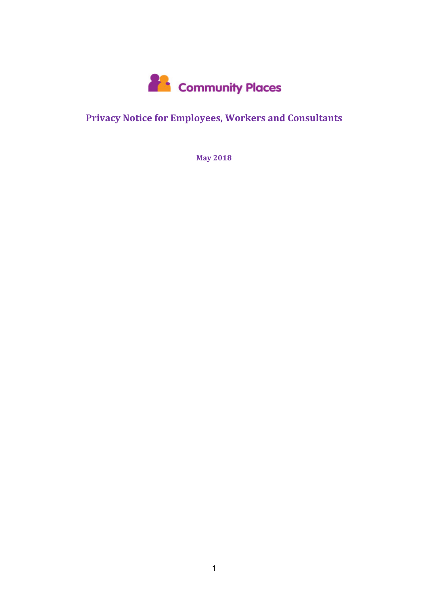

# **Privacy Notice for Employees, Workers and Consultants**

**May 2018**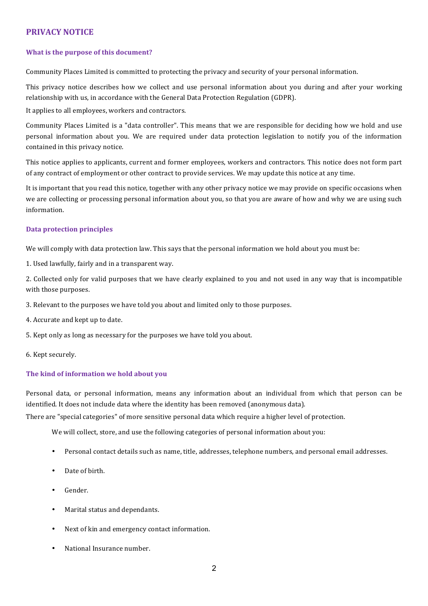# **PRIVACY NOTICE**

### **What is the purpose of this document?**

Community Places Limited is committed to protecting the privacy and security of your personal information.

This privacy notice describes how we collect and use personal information about you during and after your working relationship with us, in accordance with the General Data Protection Regulation (GDPR).

It applies to all employees, workers and contractors.

Community Places Limited is a "data controller". This means that we are responsible for deciding how we hold and use personal information about you. We are required under data protection legislation to notify you of the information contained in this privacy notice.

This notice applies to applicants, current and former employees, workers and contractors. This notice does not form part of any contract of employment or other contract to provide services. We may update this notice at any time.

It is important that you read this notice, together with any other privacy notice we may provide on specific occasions when we are collecting or processing personal information about you, so that you are aware of how and why we are using such information.

#### **Data protection principles**

We will comply with data protection law. This says that the personal information we hold about you must be:

1. Used lawfully, fairly and in a transparent way.

2. Collected only for valid purposes that we have clearly explained to you and not used in any way that is incompatible with those purposes.

3. Relevant to the purposes we have told you about and limited only to those purposes.

4. Accurate and kept up to date.

5. Kept only as long as necessary for the purposes we have told you about.

6. Kept securely.

#### The kind of information we hold about you

Personal data, or personal information, means any information about an individual from which that person can be identified. It does not include data where the identity has been removed (anonymous data).

There are "special categories" of more sensitive personal data which require a higher level of protection.

We will collect, store, and use the following categories of personal information about you:

- Personal contact details such as name, title, addresses, telephone numbers, and personal email addresses.
- Date of birth.
- Gender.
- Marital status and dependants.
- Next of kin and emergency contact information.
- National Insurance number.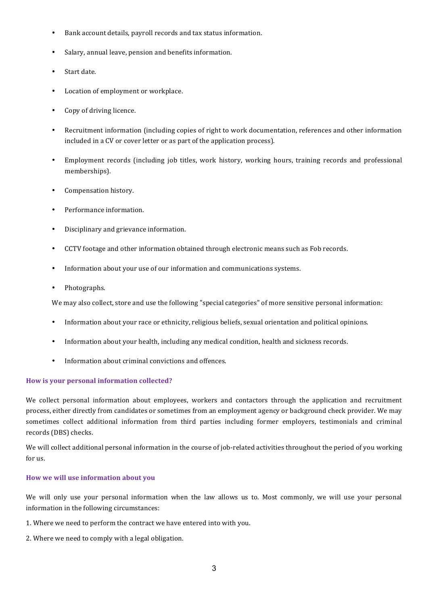- Bank account details, payroll records and tax status information.
- Salary, annual leave, pension and benefits information.
- Start date.
- Location of employment or workplace.
- Copy of driving licence.
- Recruitment information (including copies of right to work documentation, references and other information included in a CV or cover letter or as part of the application process).
- Employment records (including job titles, work history, working hours, training records and professional memberships).
- Compensation history.
- Performance information.
- Disciplinary and grievance information.
- CCTV footage and other information obtained through electronic means such as Fob records.
- Information about your use of our information and communications systems.
- Photographs.

We may also collect, store and use the following "special categories" of more sensitive personal information:

- Information about your race or ethnicity, religious beliefs, sexual orientation and political opinions.
- Information about your health, including any medical condition, health and sickness records.
- Information about criminal convictions and offences.

#### How is your personal information collected?

We collect personal information about employees, workers and contactors through the application and recruitment process, either directly from candidates or sometimes from an employment agency or background check provider. We may sometimes collect additional information from third parties including former employers, testimonials and criminal records (DBS) checks.

We will collect additional personal information in the course of job-related activities throughout the period of you working for us.

### **How** we will use information about you

We will only use your personal information when the law allows us to. Most commonly, we will use your personal information in the following circumstances:

- 1. Where we need to perform the contract we have entered into with you.
- 2. Where we need to comply with a legal obligation.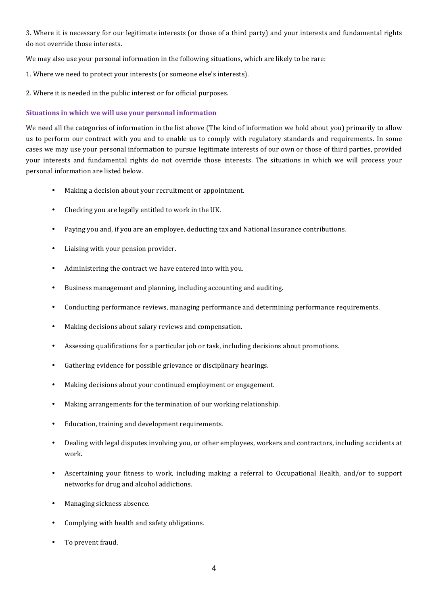3. Where it is necessary for our legitimate interests (or those of a third party) and your interests and fundamental rights do not override those interests.

We may also use your personal information in the following situations, which are likely to be rare:

- 1. Where we need to protect your interests (or someone else's interests).
- 2. Where it is needed in the public interest or for official purposes.

### **Situations in which we will use your personal information**

We need all the categories of information in the list above (The kind of information we hold about you) primarily to allow us to perform our contract with you and to enable us to comply with regulatory standards and requirements. In some cases we may use your personal information to pursue legitimate interests of our own or those of third parties, provided your interests and fundamental rights do not override those interests. The situations in which we will process your personal information are listed below.

- Making a decision about your recruitment or appointment.
- Checking you are legally entitled to work in the UK.
- Paying you and, if you are an employee, deducting tax and National Insurance contributions.
- Liaising with your pension provider.
- Administering the contract we have entered into with you.
- Business management and planning, including accounting and auditing.
- Conducting performance reviews, managing performance and determining performance requirements.
- Making decisions about salary reviews and compensation.
- Assessing qualifications for a particular job or task, including decisions about promotions.
- Gathering evidence for possible grievance or disciplinary hearings.
- Making decisions about your continued employment or engagement.
- Making arrangements for the termination of our working relationship.
- Education, training and development requirements.
- Dealing with legal disputes involving you, or other employees, workers and contractors, including accidents at work.
- Ascertaining your fitness to work, including making a referral to Occupational Health, and/or to support networks for drug and alcohol addictions.
- Managing sickness absence.
- Complying with health and safety obligations.
- To prevent fraud.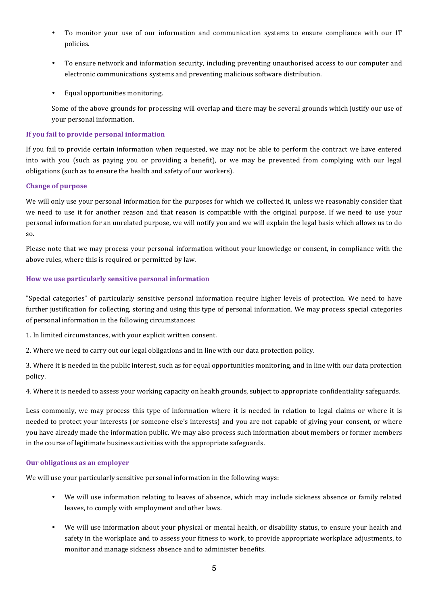- To monitor your use of our information and communication systems to ensure compliance with our IT policies.
- To ensure network and information security, including preventing unauthorised access to our computer and electronic communications systems and preventing malicious software distribution.
- Equal opportunities monitoring.

Some of the above grounds for processing will overlap and there may be several grounds which justify our use of your personal information.

## **If you fail to provide personal information**

If you fail to provide certain information when requested, we may not be able to perform the contract we have entered into with you (such as paying you or providing a benefit), or we may be prevented from complying with our legal obligations (such as to ensure the health and safety of our workers).

## **Change of purpose**

We will only use your personal information for the purposes for which we collected it, unless we reasonably consider that we need to use it for another reason and that reason is compatible with the original purpose. If we need to use your personal information for an unrelated purpose, we will notify you and we will explain the legal basis which allows us to do so. 

Please note that we may process your personal information without your knowledge or consent, in compliance with the above rules, where this is required or permitted by law.

## How we use particularly sensitive personal information

"Special categories" of particularly sensitive personal information require higher levels of protection. We need to have further justification for collecting, storing and using this type of personal information. We may process special categories of personal information in the following circumstances:

1. In limited circumstances, with your explicit written consent.

2. Where we need to carry out our legal obligations and in line with our data protection policy.

3. Where it is needed in the public interest, such as for equal opportunities monitoring, and in line with our data protection policy.

4. Where it is needed to assess your working capacity on health grounds, subject to appropriate confidentiality safeguards.

Less commonly, we may process this type of information where it is needed in relation to legal claims or where it is needed to protect your interests (or someone else's interests) and you are not capable of giving your consent, or where you have already made the information public. We may also process such information about members or former members in the course of legitimate business activities with the appropriate safeguards.

## **Our obligations as an employer**

We will use your particularly sensitive personal information in the following ways:

- We will use information relating to leaves of absence, which may include sickness absence or family related leaves, to comply with employment and other laws.
- We will use information about your physical or mental health, or disability status, to ensure your health and safety in the workplace and to assess your fitness to work, to provide appropriate workplace adjustments, to monitor and manage sickness absence and to administer benefits.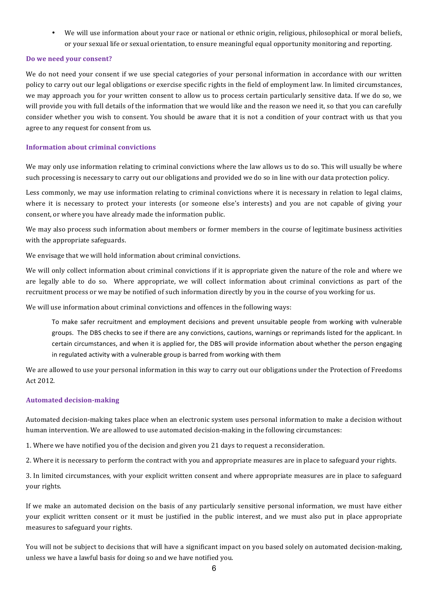• We will use information about vour race or national or ethnic origin, religious, philosophical or moral beliefs, or your sexual life or sexual orientation, to ensure meaningful equal opportunity monitoring and reporting.

#### **Do** we need your consent?

We do not need your consent if we use special categories of your personal information in accordance with our written policy to carry out our legal obligations or exercise specific rights in the field of employment law. In limited circumstances, we may approach you for your written consent to allow us to process certain particularly sensitive data. If we do so, we will provide you with full details of the information that we would like and the reason we need it, so that you can carefully consider whether you wish to consent. You should be aware that it is not a condition of your contract with us that you agree to any request for consent from us.

### **Information about criminal convictions**

We may only use information relating to criminal convictions where the law allows us to do so. This will usually be where such processing is necessary to carry out our obligations and provided we do so in line with our data protection policy.

Less commonly, we may use information relating to criminal convictions where it is necessary in relation to legal claims, where it is necessary to protect your interests (or someone else's interests) and you are not capable of giving your consent, or where you have already made the information public.

We may also process such information about members or former members in the course of legitimate business activities with the appropriate safeguards.

We envisage that we will hold information about criminal convictions.

We will only collect information about criminal convictions if it is appropriate given the nature of the role and where we are legally able to do so. Where appropriate, we will collect information about criminal convictions as part of the recruitment process or we may be notified of such information directly by you in the course of you working for us.

We will use information about criminal convictions and offences in the following ways:

To make safer recruitment and employment decisions and prevent unsuitable people from working with vulnerable groups. The DBS checks to see if there are any convictions, cautions, warnings or reprimands listed for the applicant. In certain circumstances, and when it is applied for, the DBS will provide information about whether the person engaging in regulated activity with a vulnerable group is barred from working with them

We are allowed to use your personal information in this way to carry out our obligations under the Protection of Freedoms Act 2012.

#### **Automated decision-making**

Automated decision-making takes place when an electronic system uses personal information to make a decision without human intervention. We are allowed to use automated decision-making in the following circumstances:

1. Where we have notified you of the decision and given you 21 days to request a reconsideration.

2. Where it is necessary to perform the contract with you and appropriate measures are in place to safeguard your rights.

3. In limited circumstances, with your explicit written consent and where appropriate measures are in place to safeguard your rights.

If we make an automated decision on the basis of any particularly sensitive personal information, we must have either your explicit written consent or it must be justified in the public interest, and we must also put in place appropriate measures to safeguard your rights.

You will not be subject to decisions that will have a significant impact on you based solely on automated decision-making, unless we have a lawful basis for doing so and we have notified you.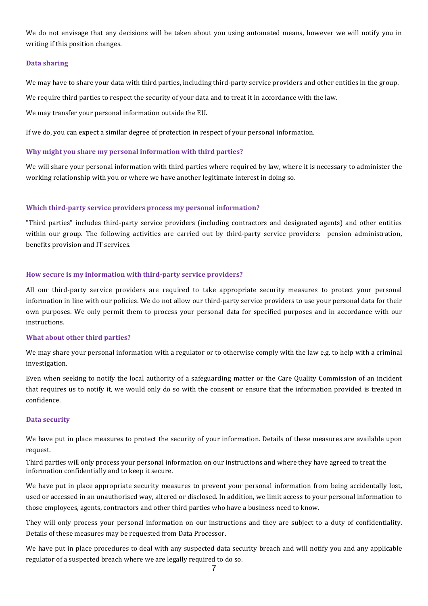We do not envisage that any decisions will be taken about you using automated means, however we will notify you in writing if this position changes.

#### **Data sharing**

We may have to share your data with third parties, including third-party service providers and other entities in the group.

We require third parties to respect the security of your data and to treat it in accordance with the law.

We may transfer your personal information outside the EU.

If we do, you can expect a similar degree of protection in respect of your personal information.

## **Why might you share my personal information with third parties?**

We will share your personal information with third parties where required by law, where it is necessary to administer the working relationship with you or where we have another legitimate interest in doing so.

### **Which third-party service providers process my personal information?**

"Third parties" includes third-party service providers (including contractors and designated agents) and other entities within our group. The following activities are carried out by third-party service providers: pension administration, benefits provision and IT services.

### How secure is my information with third-party service providers?

All our third-party service providers are required to take appropriate security measures to protect your personal information in line with our policies. We do not allow our third-party service providers to use your personal data for their own purposes. We only permit them to process your personal data for specified purposes and in accordance with our instructions.

#### **What about other third parties?**

We may share your personal information with a regulator or to otherwise comply with the law e.g. to help with a criminal investigation.

Even when seeking to notify the local authority of a safeguarding matter or the Care Quality Commission of an incident that requires us to notify it, we would only do so with the consent or ensure that the information provided is treated in confidence.

#### **Data security**

We have put in place measures to protect the security of your information. Details of these measures are available upon request.

Third parties will only process your personal information on our instructions and where they have agreed to treat the information confidentially and to keep it secure.

We have put in place appropriate security measures to prevent your personal information from being accidentally lost, used or accessed in an unauthorised way, altered or disclosed. In addition, we limit access to your personal information to those employees, agents, contractors and other third parties who have a business need to know.

They will only process your personal information on our instructions and they are subject to a duty of confidentiality. Details of these measures may be requested from Data Processor.

We have put in place procedures to deal with any suspected data security breach and will notify you and any applicable regulator of a suspected breach where we are legally required to do so.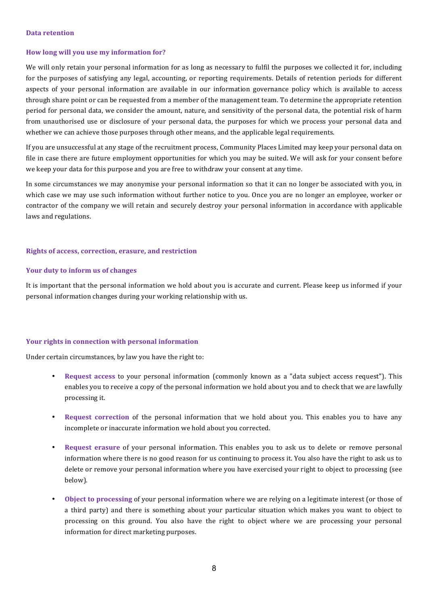#### **Data retention**

## **How long will you use my information for?**

We will only retain your personal information for as long as necessary to fulfil the purposes we collected it for, including for the purposes of satisfying any legal, accounting, or reporting requirements. Details of retention periods for different aspects of your personal information are available in our information governance policy which is available to access through share point or can be requested from a member of the management team. To determine the appropriate retention period for personal data, we consider the amount, nature, and sensitivity of the personal data, the potential risk of harm from unauthorised use or disclosure of your personal data, the purposes for which we process your personal data and whether we can achieve those purposes through other means, and the applicable legal requirements.

If you are unsuccessful at any stage of the recruitment process, Community Places Limited may keep your personal data on file in case there are future employment opportunities for which you may be suited. We will ask for your consent before we keep your data for this purpose and you are free to withdraw your consent at any time.

In some circumstances we may anonymise your personal information so that it can no longer be associated with you, in which case we may use such information without further notice to you. Once you are no longer an employee, worker or contractor of the company we will retain and securely destroy your personal information in accordance with applicable laws and regulations.

#### **Rights of access, correction, erasure, and restriction**

#### **Your duty to inform us of changes**

It is important that the personal information we hold about you is accurate and current. Please keep us informed if your personal information changes during your working relationship with us.

#### **Your rights in connection with personal information**

Under certain circumstances, by law you have the right to:

- **Request access to your personal information (commonly known as a "data subject access request"). This** enables you to receive a copy of the personal information we hold about you and to check that we are lawfully processing it.
- **Request correction** of the personal information that we hold about you. This enables you to have any incomplete or inaccurate information we hold about you corrected.
- **Request erasure** of your personal information. This enables you to ask us to delete or remove personal information where there is no good reason for us continuing to process it. You also have the right to ask us to delete or remove your personal information where you have exercised your right to object to processing (see below).
- Object to processing of your personal information where we are relying on a legitimate interest (or those of a third party) and there is something about your particular situation which makes you want to object to processing on this ground. You also have the right to object where we are processing your personal information for direct marketing purposes.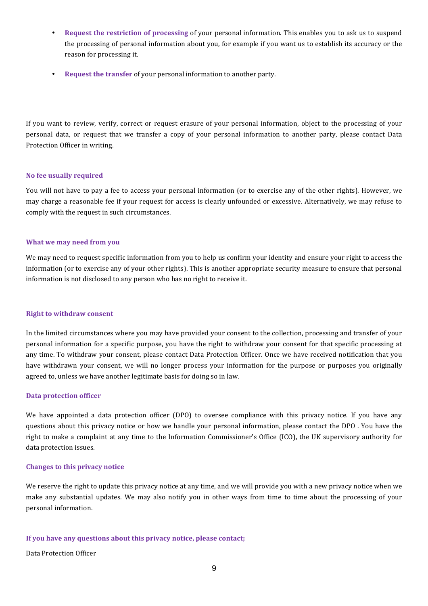- **Request the restriction of processing of your personal information. This enables you to ask us to suspend** the processing of personal information about you, for example if you want us to establish its accuracy or the reason for processing it.
- **Request the transfer** of your personal information to another party.

If you want to review, verify, correct or request erasure of your personal information, object to the processing of your personal data, or request that we transfer a copy of your personal information to another party, please contact Data Protection Officer in writing.

#### **No fee usually required**

You will not have to pay a fee to access your personal information (or to exercise any of the other rights). However, we may charge a reasonable fee if your request for access is clearly unfounded or excessive. Alternatively, we may refuse to comply with the request in such circumstances.

#### **What we may need from you**

We may need to request specific information from you to help us confirm your identity and ensure your right to access the information (or to exercise any of your other rights). This is another appropriate security measure to ensure that personal information is not disclosed to any person who has no right to receive it.

#### **Right to withdraw consent**

In the limited circumstances where you may have provided your consent to the collection, processing and transfer of your personal information for a specific purpose, you have the right to withdraw your consent for that specific processing at any time. To withdraw your consent, please contact Data Protection Officer. Once we have received notification that you have withdrawn your consent, we will no longer process your information for the purpose or purposes you originally agreed to, unless we have another legitimate basis for doing so in law.

#### **Data protection officer**

We have appointed a data protection officer (DPO) to oversee compliance with this privacy notice. If you have any questions about this privacy notice or how we handle your personal information, please contact the DPO. You have the right to make a complaint at any time to the Information Commissioner's Office (ICO), the UK supervisory authority for data protection issues.

#### **Changes to this privacy notice**

We reserve the right to update this privacy notice at any time, and we will provide you with a new privacy notice when we make any substantial updates. We may also notify you in other ways from time to time about the processing of your personal information.

#### If you have any questions about this privacy notice, please contact;

Data Protection Officer